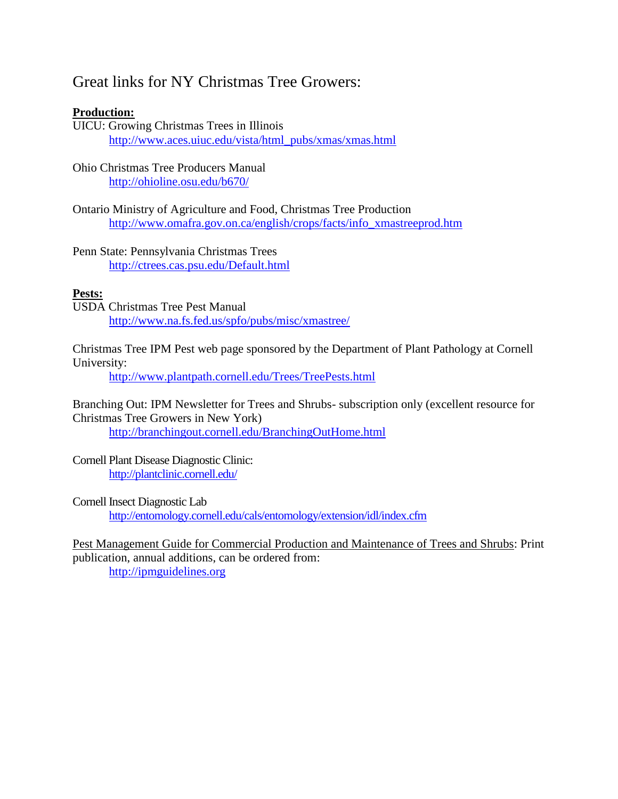# Great links for NY Christmas Tree Growers:

# **Production:**

UICU: Growing Christmas Trees in Illinois [http://www.aces.uiuc.edu/vista/html\\_pubs/xmas/xmas.html](http://www.aces.uiuc.edu/vista/html_pubs/xmas/xmas.html)

Ohio Christmas Tree Producers Manual <http://ohioline.osu.edu/b670/>

Ontario Ministry of Agriculture and Food, Christmas Tree Production [http://www.omafra.gov.on.ca/english/crops/facts/info\\_xmastreeprod.htm](http://www.omafra.gov.on.ca/english/crops/facts/info_xmastreeprod.htm)

Penn State: Pennsylvania Christmas Trees <http://ctrees.cas.psu.edu/Default.html>

# **Pests:**

USDA Christmas Tree Pest Manual <http://www.na.fs.fed.us/spfo/pubs/misc/xmastree/>

Christmas Tree IPM Pest web page sponsored by the Department of Plant Pathology at Cornell University:

<http://www.plantpath.cornell.edu/Trees/TreePests.html>

Branching Out: IPM Newsletter for Trees and Shrubs- subscription only (excellent resource for Christmas Tree Growers in New York)

<http://branchingout.cornell.edu/BranchingOutHome.html>

Cornell Plant Disease Diagnostic Clinic: <http://plantclinic.cornell.edu/>

Cornell Insect Diagnostic Lab

<http://entomology.cornell.edu/cals/entomology/extension/idl/index.cfm>

Pest Management Guide for Commercial Production and Maintenance of Trees and Shrubs: Print publication, annual additions, can be ordered from: [http://ipmguidelines.org](http://ipmguidelines.org/)